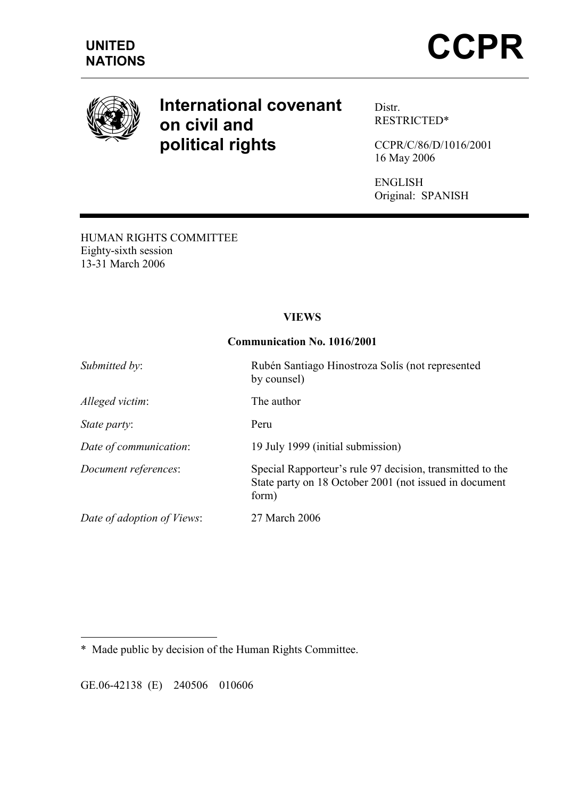

# International covenant on civil and political rights

Distr. RESTRICTED\*

CCPR/C/86/D/1016/2001 16 May 2006

ENGLISH Original: SPANISH

HUMAN RIGHTS COMMITTEE Eighty-sixth session 13-31 March 2006

#### VIEWS

### Communication No. 1016/2001

| Submitted by:              | Rubén Santiago Hinostroza Solís (not represented<br>by counsel)                                                              |
|----------------------------|------------------------------------------------------------------------------------------------------------------------------|
| Alleged victim:            | The author                                                                                                                   |
| State party:               | Peru                                                                                                                         |
| Date of communication:     | 19 July 1999 (initial submission)                                                                                            |
| Document references:       | Special Rapporteur's rule 97 decision, transmitted to the<br>State party on 18 October 2001 (not issued in document<br>form) |
| Date of adoption of Views: | 27 March 2006                                                                                                                |

 $\overline{a}$ \* Made public by decision of the Human Rights Committee.

GE.06-42138 (E) 240506 010606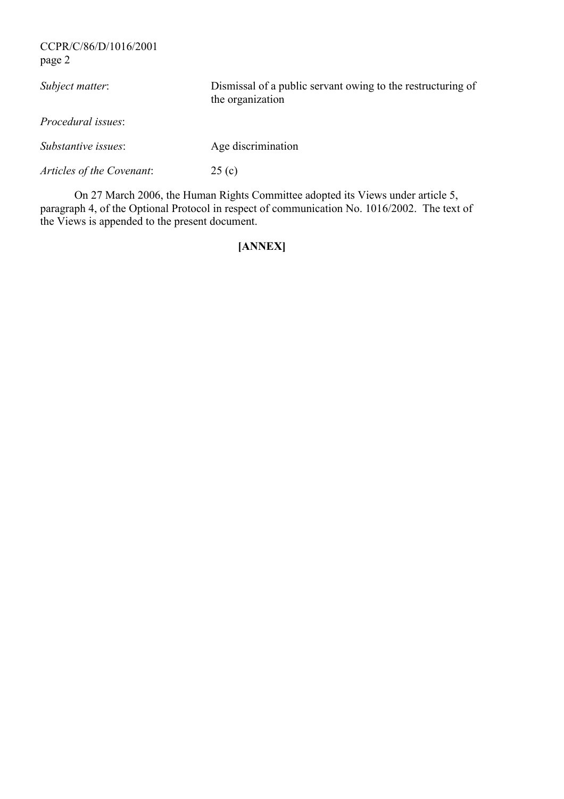#### CCPR/C/86/D/1016/2001 page 2

| Subject matter:           | Dismissal of a public servant owing to the restructuring of<br>the organization |
|---------------------------|---------------------------------------------------------------------------------|
| Procedural issues:        |                                                                                 |
| Substantive issues:       | Age discrimination                                                              |
| Articles of the Covenant: | 25(c)                                                                           |

 On 27 March 2006, the Human Rights Committee adopted its Views under article 5, paragraph 4, of the Optional Protocol in respect of communication No. 1016/2002. The text of the Views is appended to the present document.

## [ANNEX]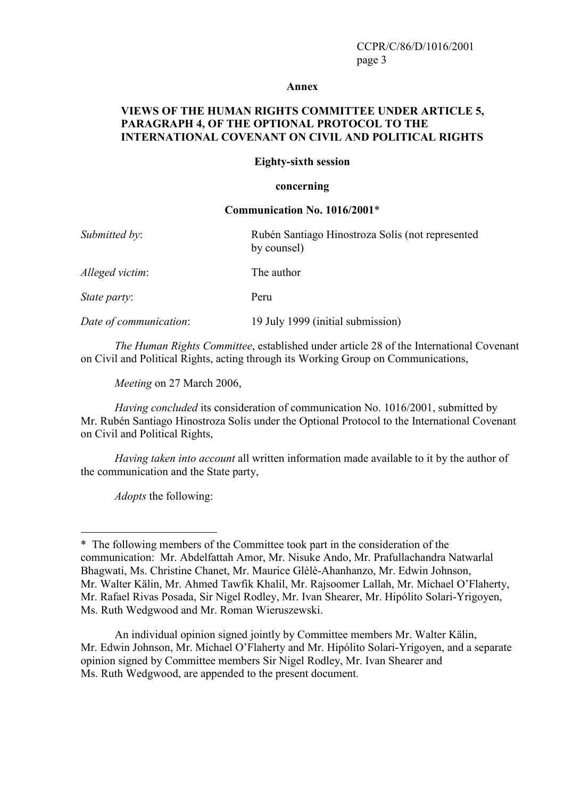#### Annex

#### VIEWS OF THE HUMAN RIGHTS COMMITTEE UNDER ARTICLE 5, PARAGRAPH 4, OF THE OPTIONAL PROTOCOL TO THE INTERNATIONAL COVENANT ON CIVIL AND POLITICAL RIGHTS

#### Eighty-sixth session

#### concerning

#### Communication No. 1016/2001\*

| Submitted by:          | Rubén Santiago Hinostroza Solís (not represented<br>by counsel) |
|------------------------|-----------------------------------------------------------------|
| Alleged victim:        | The author                                                      |
| <i>State party:</i>    | Peru                                                            |
| Date of communication: | 19 July 1999 (initial submission)                               |

The Human Rights Committee, established under article 28 of the International Covenant on Civil and Political Rights, acting through its Working Group on Communications,

Meeting on 27 March 2006,

Having concluded its consideration of communication No. 1016/2001, submitted by Mr. Rubén Santiago Hinostroza Solís under the Optional Protocol to the International Covenant on Civil and Political Rights,

Having taken into account all written information made available to it by the author of the communication and the State party,

Adopts the following:

 $\overline{a}$ 

<sup>\*</sup> The following members of the Committee took part in the consideration of the communication: Mr. Abdelfattah Amor, Mr. Nisuke Ando, Mr. Prafullachandra Natwarlal Bhagwati, Ms. Christine Chanet, Mr. Maurice Glèlè-Ahanhanzo, Mr. Edwin Johnson, Mr. Walter Kälin, Mr. Ahmed Tawfik Khalil, Mr. Rajsoomer Lallah, Mr. Michael O'Flaherty, Mr. Rafael Rivas Posada, Sir Nigel Rodley, Mr. Ivan Shearer, Mr. Hipólito Solari-Yrigoyen, Ms. Ruth Wedgwood and Mr. Roman Wieruszewski.

An individual opinion signed jointly by Committee members Mr. Walter Kälin, Mr. Edwin Johnson, Mr. Michael O'Flaherty and Mr. Hipólito Solari-Yrigoyen, and a separate opinion signed by Committee members Sir Nigel Rodley, Mr. Ivan Shearer and Ms. Ruth Wedgwood, are appended to the present document.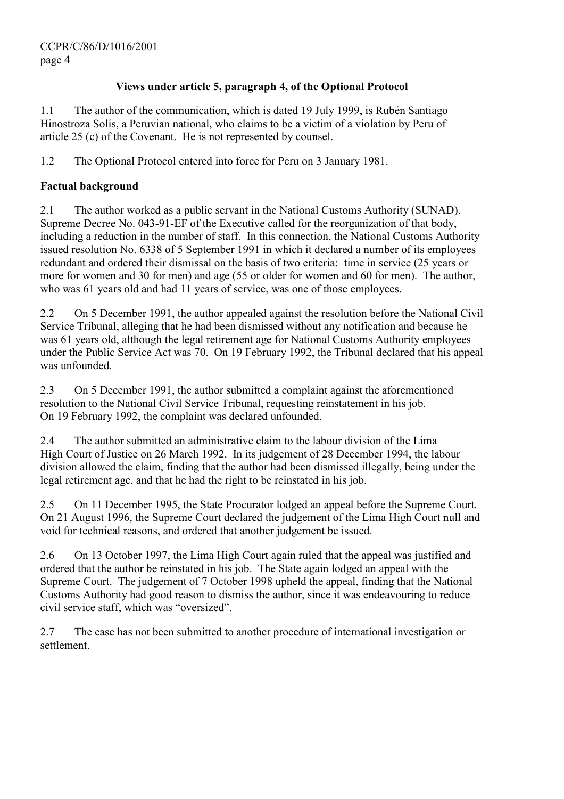## Views under article 5, paragraph 4, of the Optional Protocol

1.1 The author of the communication, which is dated 19 July 1999, is Rubén Santiago Hinostroza Solís, a Peruvian national, who claims to be a victim of a violation by Peru of article 25 (c) of the Covenant. He is not represented by counsel.

1.2 The Optional Protocol entered into force for Peru on 3 January 1981.

## Factual background

2.1 The author worked as a public servant in the National Customs Authority (SUNAD). Supreme Decree No. 043-91-EF of the Executive called for the reorganization of that body, including a reduction in the number of staff. In this connection, the National Customs Authority issued resolution No. 6338 of 5 September 1991 in which it declared a number of its employees redundant and ordered their dismissal on the basis of two criteria: time in service (25 years or more for women and 30 for men) and age (55 or older for women and 60 for men). The author, who was 61 years old and had 11 years of service, was one of those employees.

2.2 On 5 December 1991, the author appealed against the resolution before the National Civil Service Tribunal, alleging that he had been dismissed without any notification and because he was 61 years old, although the legal retirement age for National Customs Authority employees under the Public Service Act was 70. On 19 February 1992, the Tribunal declared that his appeal was unfounded.

2.3 On 5 December 1991, the author submitted a complaint against the aforementioned resolution to the National Civil Service Tribunal, requesting reinstatement in his job. On 19 February 1992, the complaint was declared unfounded.

2.4 The author submitted an administrative claim to the labour division of the Lima High Court of Justice on 26 March 1992. In its judgement of 28 December 1994, the labour division allowed the claim, finding that the author had been dismissed illegally, being under the legal retirement age, and that he had the right to be reinstated in his job.

2.5 On 11 December 1995, the State Procurator lodged an appeal before the Supreme Court. On 21 August 1996, the Supreme Court declared the judgement of the Lima High Court null and void for technical reasons, and ordered that another judgement be issued.

2.6 On 13 October 1997, the Lima High Court again ruled that the appeal was justified and ordered that the author be reinstated in his job. The State again lodged an appeal with the Supreme Court. The judgement of 7 October 1998 upheld the appeal, finding that the National Customs Authority had good reason to dismiss the author, since it was endeavouring to reduce civil service staff, which was "oversized".

2.7 The case has not been submitted to another procedure of international investigation or settlement.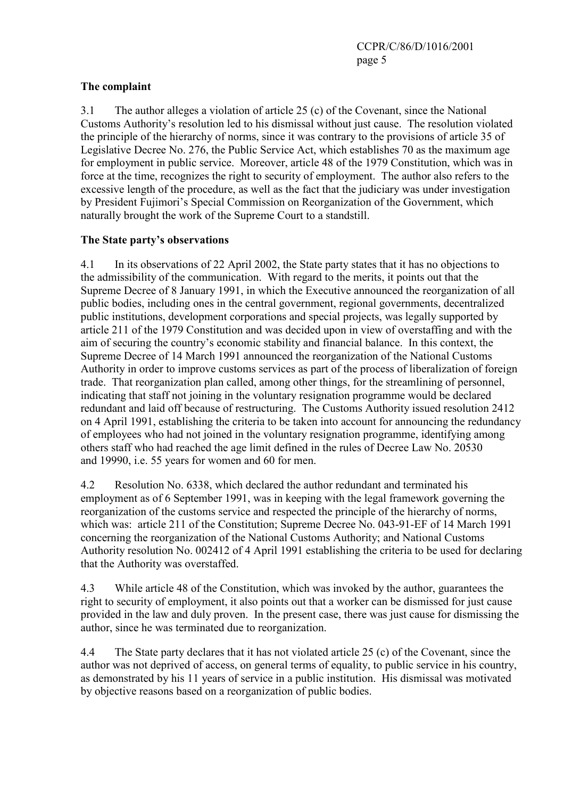## The complaint

3.1 The author alleges a violation of article 25 (c) of the Covenant, since the National Customs Authority's resolution led to his dismissal without just cause. The resolution violated the principle of the hierarchy of norms, since it was contrary to the provisions of article 35 of Legislative Decree No. 276, the Public Service Act, which establishes 70 as the maximum age for employment in public service. Moreover, article 48 of the 1979 Constitution, which was in force at the time, recognizes the right to security of employment. The author also refers to the excessive length of the procedure, as well as the fact that the judiciary was under investigation by President Fujimori's Special Commission on Reorganization of the Government, which naturally brought the work of the Supreme Court to a standstill.

## The State party's observations

4.1 In its observations of 22 April 2002, the State party states that it has no objections to the admissibility of the communication. With regard to the merits, it points out that the Supreme Decree of 8 January 1991, in which the Executive announced the reorganization of all public bodies, including ones in the central government, regional governments, decentralized public institutions, development corporations and special projects, was legally supported by article 211 of the 1979 Constitution and was decided upon in view of overstaffing and with the aim of securing the country's economic stability and financial balance. In this context, the Supreme Decree of 14 March 1991 announced the reorganization of the National Customs Authority in order to improve customs services as part of the process of liberalization of foreign trade. That reorganization plan called, among other things, for the streamlining of personnel, indicating that staff not joining in the voluntary resignation programme would be declared redundant and laid off because of restructuring. The Customs Authority issued resolution 2412 on 4 April 1991, establishing the criteria to be taken into account for announcing the redundancy of employees who had not joined in the voluntary resignation programme, identifying among others staff who had reached the age limit defined in the rules of Decree Law No. 20530 and 19990, i.e. 55 years for women and 60 for men.

4.2 Resolution No. 6338, which declared the author redundant and terminated his employment as of 6 September 1991, was in keeping with the legal framework governing the reorganization of the customs service and respected the principle of the hierarchy of norms, which was: article 211 of the Constitution; Supreme Decree No. 043-91-EF of 14 March 1991 concerning the reorganization of the National Customs Authority; and National Customs Authority resolution No. 002412 of 4 April 1991 establishing the criteria to be used for declaring that the Authority was overstaffed.

4.3 While article 48 of the Constitution, which was invoked by the author, guarantees the right to security of employment, it also points out that a worker can be dismissed for just cause provided in the law and duly proven. In the present case, there was just cause for dismissing the author, since he was terminated due to reorganization.

4.4 The State party declares that it has not violated article 25 (c) of the Covenant, since the author was not deprived of access, on general terms of equality, to public service in his country, as demonstrated by his 11 years of service in a public institution. His dismissal was motivated by objective reasons based on a reorganization of public bodies.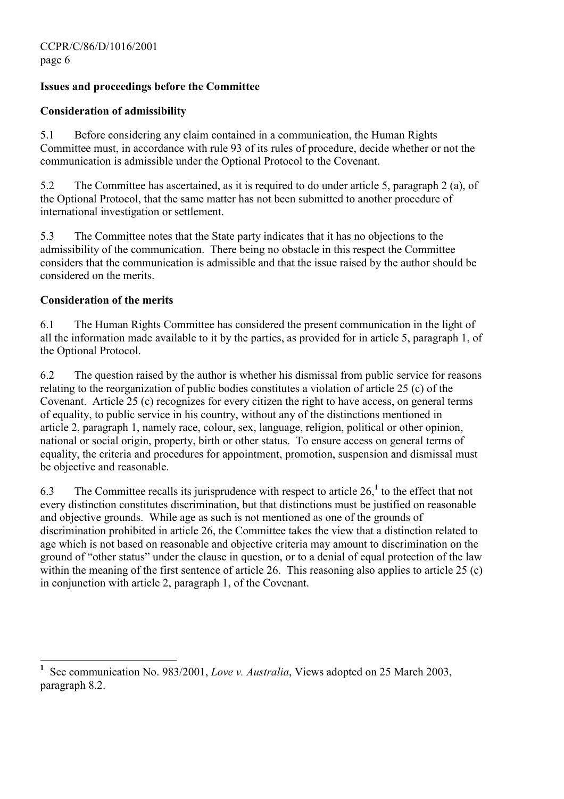## Issues and proceedings before the Committee

#### Consideration of admissibility

5.1 Before considering any claim contained in a communication, the Human Rights Committee must, in accordance with rule 93 of its rules of procedure, decide whether or not the communication is admissible under the Optional Protocol to the Covenant.

5.2 The Committee has ascertained, as it is required to do under article 5, paragraph 2 (a), of the Optional Protocol, that the same matter has not been submitted to another procedure of international investigation or settlement.

5.3 The Committee notes that the State party indicates that it has no objections to the admissibility of the communication. There being no obstacle in this respect the Committee considers that the communication is admissible and that the issue raised by the author should be considered on the merits.

## Consideration of the merits

6.1 The Human Rights Committee has considered the present communication in the light of all the information made available to it by the parties, as provided for in article 5, paragraph 1, of the Optional Protocol.

6.2 The question raised by the author is whether his dismissal from public service for reasons relating to the reorganization of public bodies constitutes a violation of article 25 (c) of the Covenant. Article 25 (c) recognizes for every citizen the right to have access, on general terms of equality, to public service in his country, without any of the distinctions mentioned in article 2, paragraph 1, namely race, colour, sex, language, religion, political or other opinion, national or social origin, property, birth or other status. To ensure access on general terms of equality, the criteria and procedures for appointment, promotion, suspension and dismissal must be objective and reasonable.

6.3 The Committee recalls its jurisprudence with respect to article  $26<sup>1</sup>$  to the effect that not every distinction constitutes discrimination, but that distinctions must be justified on reasonable and objective grounds. While age as such is not mentioned as one of the grounds of discrimination prohibited in article 26, the Committee takes the view that a distinction related to age which is not based on reasonable and objective criteria may amount to discrimination on the ground of "other status" under the clause in question, or to a denial of equal protection of the law within the meaning of the first sentence of article 26. This reasoning also applies to article 25 (c) in conjunction with article 2, paragraph 1, of the Covenant.

 $\frac{1}{1}$  See communication No. 983/2001, Love v. Australia, Views adopted on 25 March 2003, paragraph 8.2.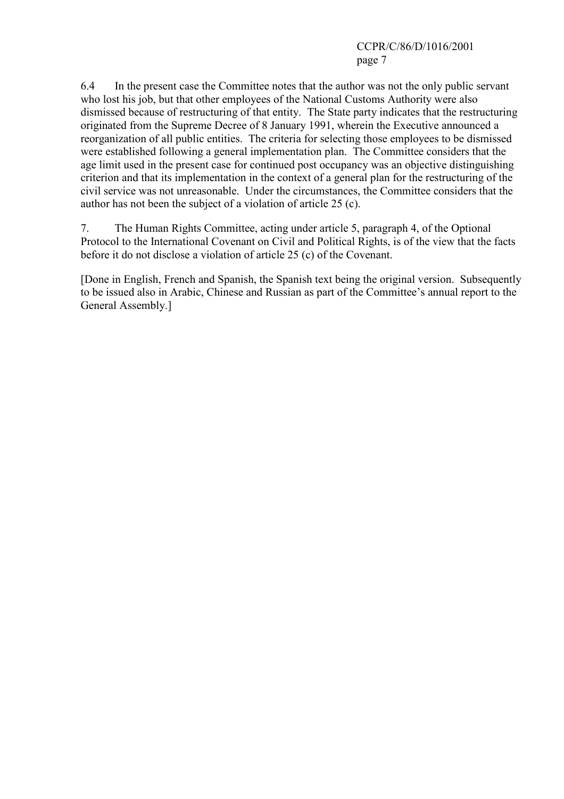#### CCPR/C/86/D/1016/2001 page 7

6.4 In the present case the Committee notes that the author was not the only public servant who lost his job, but that other employees of the National Customs Authority were also dismissed because of restructuring of that entity. The State party indicates that the restructuring originated from the Supreme Decree of 8 January 1991, wherein the Executive announced a reorganization of all public entities. The criteria for selecting those employees to be dismissed were established following a general implementation plan. The Committee considers that the age limit used in the present case for continued post occupancy was an objective distinguishing criterion and that its implementation in the context of a general plan for the restructuring of the civil service was not unreasonable. Under the circumstances, the Committee considers that the author has not been the subject of a violation of article 25 (c).

7. The Human Rights Committee, acting under article 5, paragraph 4, of the Optional Protocol to the International Covenant on Civil and Political Rights, is of the view that the facts before it do not disclose a violation of article 25 (c) of the Covenant.

[Done in English, French and Spanish, the Spanish text being the original version. Subsequently to be issued also in Arabic, Chinese and Russian as part of the Committee's annual report to the General Assembly.]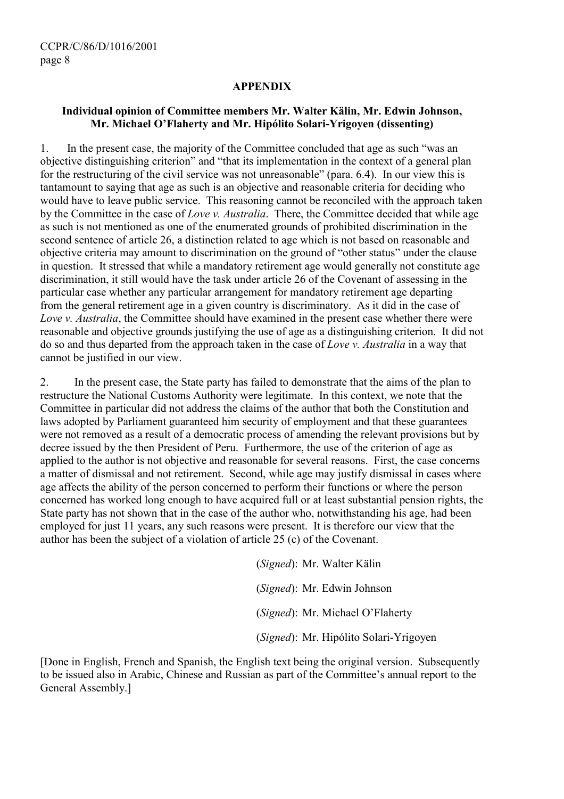#### APPENDIX

#### Individual opinion of Committee members Mr. Walter Kälin, Mr. Edwin Johnson, Mr. Michael O'Flaherty and Mr. Hipólito Solari-Yrigoyen (dissenting)

1. In the present case, the majority of the Committee concluded that age as such "was an objective distinguishing criterion" and "that its implementation in the context of a general plan for the restructuring of the civil service was not unreasonable" (para. 6.4). In our view this is tantamount to saying that age as such is an objective and reasonable criteria for deciding who would have to leave public service. This reasoning cannot be reconciled with the approach taken by the Committee in the case of *Love v. Australia*. There, the Committee decided that while age as such is not mentioned as one of the enumerated grounds of prohibited discrimination in the second sentence of article 26, a distinction related to age which is not based on reasonable and objective criteria may amount to discrimination on the ground of "other status" under the clause in question. It stressed that while a mandatory retirement age would generally not constitute age discrimination, it still would have the task under article 26 of the Covenant of assessing in the particular case whether any particular arrangement for mandatory retirement age departing from the general retirement age in a given country is discriminatory. As it did in the case of Love v. Australia, the Committee should have examined in the present case whether there were reasonable and objective grounds justifying the use of age as a distinguishing criterion. It did not do so and thus departed from the approach taken in the case of Love v. Australia in a way that cannot be justified in our view.

2. In the present case, the State party has failed to demonstrate that the aims of the plan to restructure the National Customs Authority were legitimate. In this context, we note that the Committee in particular did not address the claims of the author that both the Constitution and laws adopted by Parliament guaranteed him security of employment and that these guarantees were not removed as a result of a democratic process of amending the relevant provisions but by decree issued by the then President of Peru. Furthermore, the use of the criterion of age as applied to the author is not objective and reasonable for several reasons. First, the case concerns a matter of dismissal and not retirement. Second, while age may justify dismissal in cases where age affects the ability of the person concerned to perform their functions or where the person concerned has worked long enough to have acquired full or at least substantial pension rights, the State party has not shown that in the case of the author who, notwithstanding his age, had been employed for just 11 years, any such reasons were present. It is therefore our view that the author has been the subject of a violation of article 25 (c) of the Covenant.

> (Signed): Mr. Walter Kälin (Signed): Mr. Edwin Johnson (Signed): Mr. Michael O'Flaherty (Signed): Mr. Hipólito Solari-Yrigoyen

[Done in English, French and Spanish, the English text being the original version. Subsequently to be issued also in Arabic, Chinese and Russian as part of the Committee's annual report to the General Assembly.]